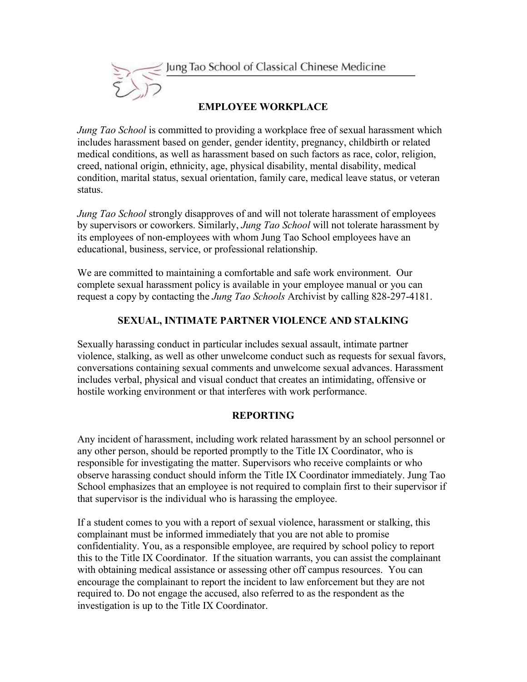

# **EMPLOYEE WORKPLACE**

*Jung Tao School* is committed to providing a workplace free of sexual harassment which includes harassment based on gender, gender identity, pregnancy, childbirth or related medical conditions, as well as harassment based on such factors as race, color, religion, creed, national origin, ethnicity, age, physical disability, mental disability, medical condition, marital status, sexual orientation, family care, medical leave status, or veteran status.

*Jung Tao School* strongly disapproves of and will not tolerate harassment of employees by supervisors or coworkers. Similarly, *Jung Tao School* will not tolerate harassment by its employees of non-employees with whom Jung Tao School employees have an educational, business, service, or professional relationship.

We are committed to maintaining a comfortable and safe work environment. Our complete sexual harassment policy is available in your employee manual or you can request a copy by contacting the *Jung Tao Schools* Archivist by calling 828-297-4181.

# **SEXUAL, INTIMATE PARTNER VIOLENCE AND STALKING**

Sexually harassing conduct in particular includes sexual assault, intimate partner violence, stalking, as well as other unwelcome conduct such as requests for sexual favors, conversations containing sexual comments and unwelcome sexual advances. Harassment includes verbal, physical and visual conduct that creates an intimidating, offensive or hostile working environment or that interferes with work performance.

# **REPORTING**

Any incident of harassment, including work related harassment by an school personnel or any other person, should be reported promptly to the Title IX Coordinator, who is responsible for investigating the matter. Supervisors who receive complaints or who observe harassing conduct should inform the Title IX Coordinator immediately. Jung Tao School emphasizes that an employee is not required to complain first to their supervisor if that supervisor is the individual who is harassing the employee.

If a student comes to you with a report of sexual violence, harassment or stalking, this complainant must be informed immediately that you are not able to promise confidentiality. You, as a responsible employee, are required by school policy to report this to the Title IX Coordinator. If the situation warrants, you can assist the complainant with obtaining medical assistance or assessing other off campus resources. You can encourage the complainant to report the incident to law enforcement but they are not required to. Do not engage the accused, also referred to as the respondent as the investigation is up to the Title IX Coordinator.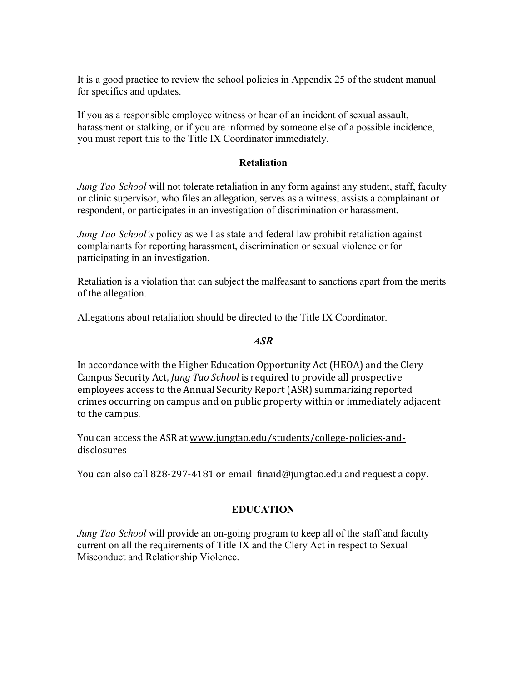It is a good practice to review the school policies in Appendix 25 of the student manual for specifics and updates.

If you as a responsible employee witness or hear of an incident of sexual assault, harassment or stalking, or if you are informed by someone else of a possible incidence, you must report this to the Title IX Coordinator immediately.

#### **Retaliation**

*Jung Tao School* will not tolerate retaliation in any form against any student, staff, faculty or clinic supervisor, who files an allegation, serves as a witness, assists a complainant or respondent, or participates in an investigation of discrimination or harassment.

*Jung Tao School's* policy as well as state and federal law prohibit retaliation against complainants for reporting harassment, discrimination or sexual violence or for participating in an investigation.

Retaliation is a violation that can subject the malfeasant to sanctions apart from the merits of the allegation.

Allegations about retaliation should be directed to the Title IX Coordinator.

#### *ASR*

In accordance with the Higher Education Opportunity Act (HEOA) and the Clery Campus Security Act, *Jung Tao School* is required to provide all prospective employees access to the Annual Security Report (ASR) summarizing reported crimes occurring on campus and on public property within or immediately adjacent to the campus.

You can access the ASR at www.jungtao.edu/students/college-policies-anddisclosures

You can also call 828-297-4181 or email finaid@jungtao.edu and request a copy.

# **EDUCATION**

*Jung Tao School* will provide an on-going program to keep all of the staff and faculty current on all the requirements of Title IX and the Clery Act in respect to Sexual Misconduct and Relationship Violence.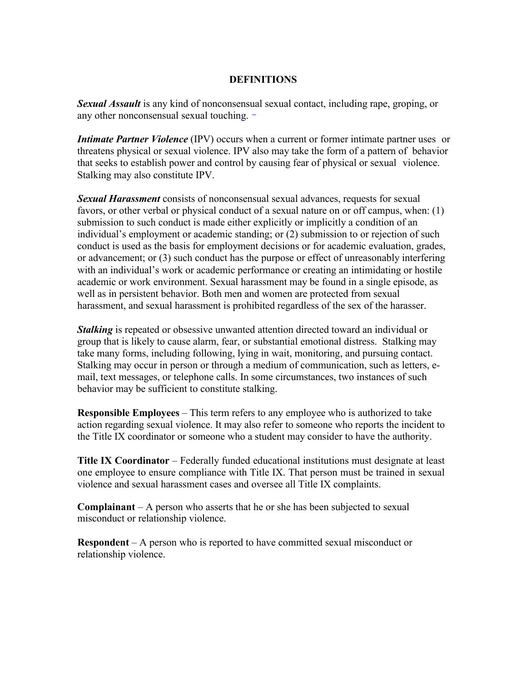#### **DEFINITIONS**

*Sexual Assault* is any kind of nonconsensual sexual contact, including rape, groping, or any other nonconsensual sexual touching.

*Intimate Partner Violence* (IPV) occurs when a current or former intimate partner uses or threatens physical or sexual violence. IPV also may take the form of a pattern of behavior that seeks to establish power and control by causing fear of physical or sexual violence. Stalking may also constitute IPV.

*Sexual Harassment* consists of nonconsensual sexual advances, requests for sexual favors, or other verbal or physical conduct of a sexual nature on or off campus, when: (1) submission to such conduct is made either explicitly or implicitly a condition of an individual's employment or academic standing; or (2) submission to or rejection of such conduct is used as the basis for employment decisions or for academic evaluation, grades, or advancement; or (3) such conduct has the purpose or effect of unreasonably interfering with an individual's work or academic performance or creating an intimidating or hostile academic or work environment. Sexual harassment may be found in a single episode, as well as in persistent behavior. Both men and women are protected from sexual harassment, and sexual harassment is prohibited regardless of the sex of the harasser.

*Stalking* is repeated or obsessive unwanted attention directed toward an individual or group that is likely to cause alarm, fear, or substantial emotional distress. Stalking may take many forms, including following, lying in wait, monitoring, and pursuing contact. Stalking may occur in person or through a medium of communication, such as letters, email, text messages, or telephone calls. In some circumstances, two instances of such behavior may be sufficient to constitute stalking.

**Responsible Employees** – This term refers to any employee who is authorized to take action regarding sexual violence. It may also refer to someone who reports the incident to the Title IX coordinator or someone who a student may consider to have the authority.

**Title IX Coordinator** – Federally funded educational institutions must designate at least one employee to ensure compliance with Title IX. That person must be trained in sexual violence and sexual harassment cases and oversee all Title IX complaints.

**Complainant** – A person who asserts that he or she has been subjected to sexual misconduct or relationship violence.

**Respondent** – A person who is reported to have committed sexual misconduct or relationship violence.